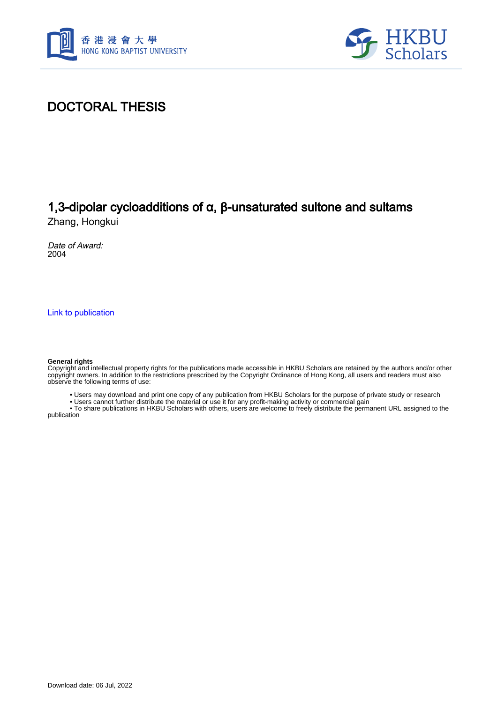



### DOCTORAL THESIS

## 1,3-dipolar cycloadditions of α, β-unsaturated sultone and sultams

Zhang, Hongkui

Date of Award: 2004

[Link to publication](https://scholars.hkbu.edu.hk/en/studentTheses/04ccab68-332c-45c5-90e6-281957d8bec7)

#### **General rights**

Copyright and intellectual property rights for the publications made accessible in HKBU Scholars are retained by the authors and/or other copyright owners. In addition to the restrictions prescribed by the Copyright Ordinance of Hong Kong, all users and readers must also observe the following terms of use:

• Users may download and print one copy of any publication from HKBU Scholars for the purpose of private study or research

• Users cannot further distribute the material or use it for any profit-making activity or commercial gain

 • To share publications in HKBU Scholars with others, users are welcome to freely distribute the permanent URL assigned to the publication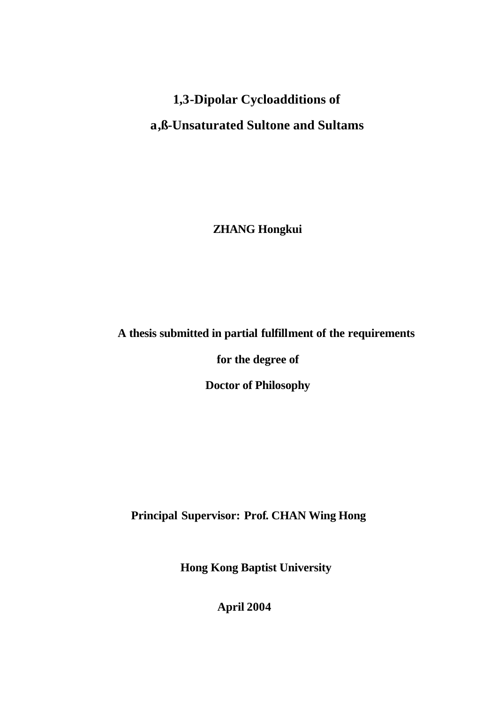# **1,3-Dipolar Cycloadditions of a,ß-Unsaturated Sultone and Sultams**

 **ZHANG Hongkui**

### **A thesis submitted in partial fulfillment of the requirements**

 **for the degree of**

 **Doctor of Philosophy**

**Principal Supervisor: Prof. CHAN Wing Hong**

**Hong Kong Baptist University**

**April 2004**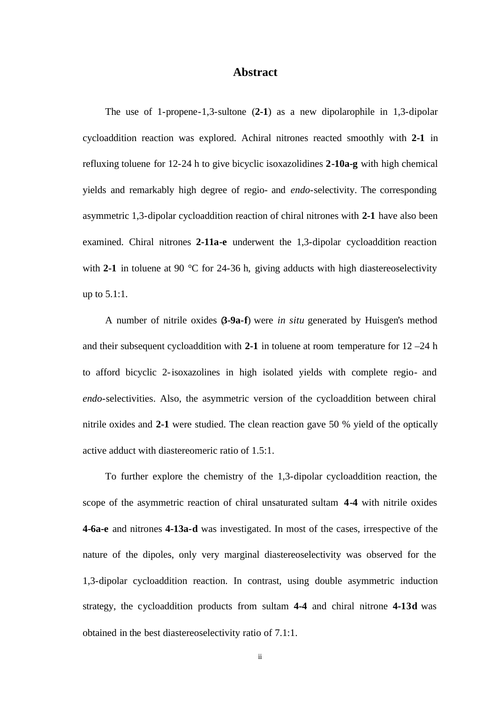#### **Abstract**

The use of 1-propene-1,3-sultone (**2-1**) as a new dipolarophile in 1,3-dipolar cycloaddition reaction was explored. Achiral nitrones reacted smoothly with **2-1** in refluxing toluene for 12-24 h to give bicyclic isoxazolidines **2-10a-g** with high chemical yields and remarkably high degree of regio- and *endo*-selectivity. The corresponding asymmetric 1,3-dipolar cycloaddition reaction of chiral nitrones with **2-1** have also been examined. Chiral nitrones **2-11a-e** underwent the 1,3-dipolar cycloaddition reaction with **2-1** in toluene at 90 °C for 24-36 h, giving adducts with high diastereoselectivity up to 5.1:1.

A number of nitrile oxides (**3-9a-f**) were *in situ* generated by Huisgen's method and their subsequent cycloaddition with **2-1** in toluene at room temperature for 12 –24 h to afford bicyclic 2-isoxazolines in high isolated yields with complete regio- and *endo*-selectivities. Also, the asymmetric version of the cycloaddition between chiral nitrile oxides and **2-1** were studied. The clean reaction gave 50 % yield of the optically active adduct with diastereomeric ratio of 1.5:1.

To further explore the chemistry of the 1,3-dipolar cycloaddition reaction, the scope of the asymmetric reaction of chiral unsaturated sultam **4-4** with nitrile oxides **4-6a-e** and nitrones **4-13a-d** was investigated. In most of the cases, irrespective of the nature of the dipoles, only very marginal diastereoselectivity was observed for the 1,3-dipolar cycloaddition reaction. In contrast, using double asymmetric induction strategy, the cycloaddition products from sultam **4-4** and chiral nitrone **4-13d** was obtained in the best diastereoselectivity ratio of 7.1:1.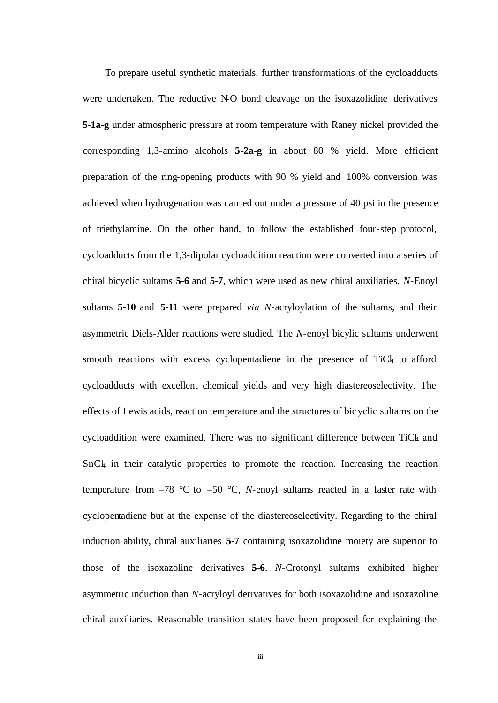To prepare useful synthetic materials, further transformations of the cycloadducts were undertaken. The reductive N-O bond cleavage on the isoxazolidine derivatives **5-1a-g** under atmospheric pressure at room temperature with Raney nickel provided the corresponding 1,3-amino alcohols **5-2a-g** in about 80 % yield. More efficient preparation of the ring-opening products with 90 % yield and 100% conversion was achieved when hydrogenation was carried out under a pressure of 40 psi in the presence of triethylamine. On the other hand, to follow the established four-step protocol, cycloadducts from the 1,3-dipolar cycloaddition reaction were converted into a series of chiral bicyclic sultams **5-6** and **5-7**, which were used as new chiral auxiliaries. *N*-Enoyl sultams **5-10** and **5-11** were prepared *via N*-acryloylation of the sultams, and their asymmetric Diels-Alder reactions were studied. The *N*-enoyl bicylic sultams underwent smooth reactions with excess cyclopentadiene in the presence of TiCl to afford cycloadducts with excellent chemical yields and very high diastereoselectivity. The effects of Lewis acids, reaction temperature and the structures of bicyclic sultams on the cycloaddition were examined. There was no significant difference between TiCl and SnCl4 in their catalytic properties to promote the reaction. Increasing the reaction temperature from  $-78$  °C to  $-50$  °C, *N*-enoyl sultams reacted in a faster rate with cyclopentadiene but at the expense of the diastereoselectivity. Regarding to the chiral induction ability, chiral auxiliaries **5-7** containing isoxazolidine moiety are superior to those of the isoxazoline derivatives **5-6**. *N*-Crotonyl sultams exhibited higher asymmetric induction than *N*-acryloyl derivatives for both isoxazolidine and isoxazoline chiral auxiliaries. Reasonable transition states have been proposed for explaining the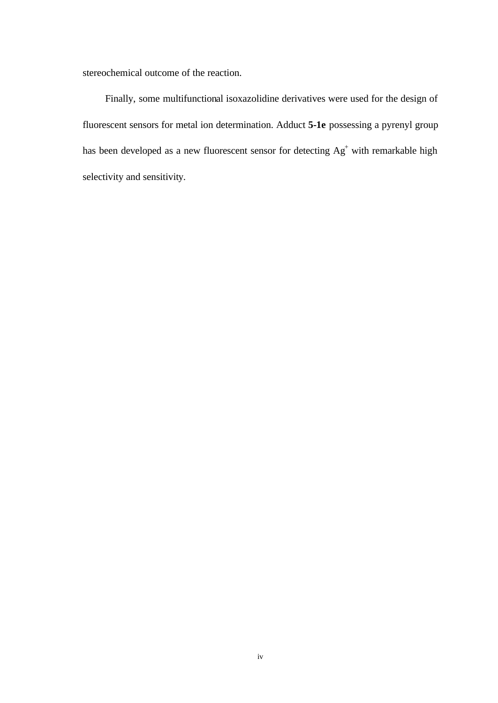stereochemical outcome of the reaction.

Finally, some multifunctional isoxazolidine derivatives were used for the design of fluorescent sensors for metal ion determination. Adduct **5-1e** possessing a pyrenyl group has been developed as a new fluorescent sensor for detecting  $Ag<sup>+</sup>$  with remarkable high selectivity and sensitivity.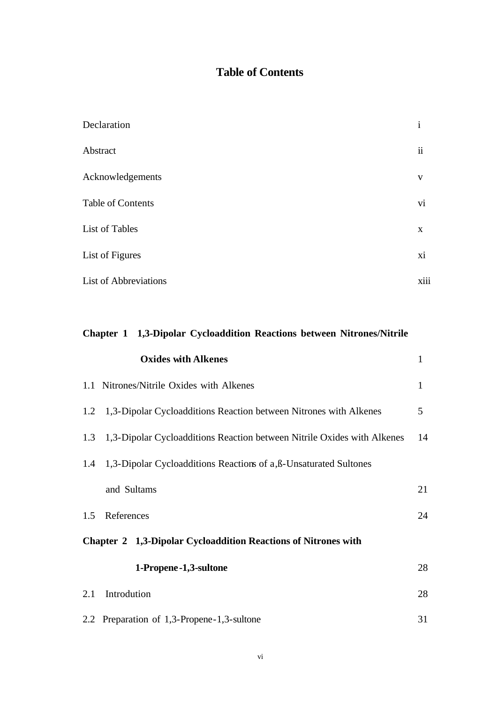### **Table of Contents**

| Declaration                  | $\mathbf{1}$        |
|------------------------------|---------------------|
| Abstract                     | $\ddot{\mathbf{i}}$ |
| Acknowledgements             | V                   |
| Table of Contents            | V1                  |
| List of Tables               | X                   |
| List of Figures              | xi                  |
| <b>List of Abbreviations</b> | xiii                |

| Chapter 1 1,3-Dipolar Cycloaddition Reactions between Nitrones/Nitrile |                                                                         |              |  |  |
|------------------------------------------------------------------------|-------------------------------------------------------------------------|--------------|--|--|
|                                                                        | <b>Oxides with Alkenes</b>                                              | $\mathbf{1}$ |  |  |
|                                                                        | 1.1 Nitrones/Nitrile Oxides with Alkenes                                | $\mathbf{1}$ |  |  |
| 1.2                                                                    | 1,3-Dipolar Cycloadditions Reaction between Nitrones with Alkenes       | 5            |  |  |
| 1.3                                                                    | 1,3-Dipolar Cycloadditions Reaction between Nitrile Oxides with Alkenes | 14           |  |  |
| 1.4                                                                    | 1,3-Dipolar Cycloadditions Reactions of a, ß-Unsaturated Sultones       |              |  |  |
|                                                                        | and Sultams                                                             | 21           |  |  |
| 1.5                                                                    | References                                                              | 24           |  |  |
| Chapter 2 1,3-Dipolar Cycloaddition Reactions of Nitrones with         |                                                                         |              |  |  |
|                                                                        | 1-Propene -1,3-sultone                                                  | 28           |  |  |
| 2.1                                                                    | Introdution                                                             | 28           |  |  |
|                                                                        | 2.2 Preparation of 1,3-Propene-1,3-sultone                              | 31           |  |  |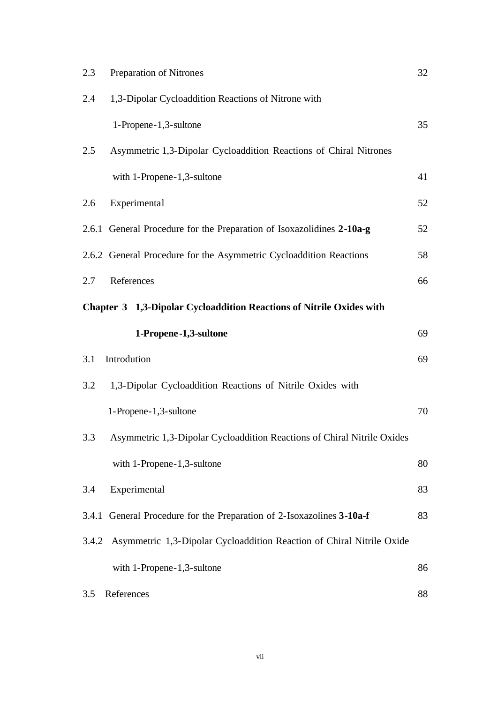| 2.3   | Preparation of Nitrones                                                 | 32 |  |  |  |
|-------|-------------------------------------------------------------------------|----|--|--|--|
| 2.4   | 1,3-Dipolar Cycloaddition Reactions of Nitrone with                     |    |  |  |  |
|       | 1-Propene-1,3-sultone                                                   | 35 |  |  |  |
| 2.5   | Asymmetric 1,3-Dipolar Cycloaddition Reactions of Chiral Nitrones       |    |  |  |  |
|       | with 1-Propene-1,3-sultone                                              | 41 |  |  |  |
| 2.6   | Experimental                                                            | 52 |  |  |  |
|       | 2.6.1 General Procedure for the Preparation of Isoxazolidines 2-10a-g   | 52 |  |  |  |
|       | 2.6.2 General Procedure for the Asymmetric Cycloaddition Reactions      | 58 |  |  |  |
| 2.7   | References                                                              | 66 |  |  |  |
|       | Chapter 3 1,3-Dipolar Cycloaddition Reactions of Nitrile Oxides with    |    |  |  |  |
|       | 1-Propene-1,3-sultone                                                   | 69 |  |  |  |
| 3.1   | Introdution                                                             | 69 |  |  |  |
| 3.2   | 1,3-Dipolar Cycloaddition Reactions of Nitrile Oxides with              |    |  |  |  |
|       | 1-Propene-1,3-sultone                                                   | 70 |  |  |  |
| 3.3   | Asymmetric 1,3-Dipolar Cycloaddition Reactions of Chiral Nitrile Oxides |    |  |  |  |
|       | with 1-Propene-1,3-sultone                                              | 80 |  |  |  |
| 3.4   | Experimental                                                            | 83 |  |  |  |
|       | 3.4.1 General Procedure for the Preparation of 2-Isoxazolines 3-10a-f   | 83 |  |  |  |
| 3.4.2 | Asymmetric 1,3-Dipolar Cycloaddition Reaction of Chiral Nitrile Oxide   |    |  |  |  |
|       | with 1-Propene-1,3-sultone                                              | 86 |  |  |  |
|       |                                                                         |    |  |  |  |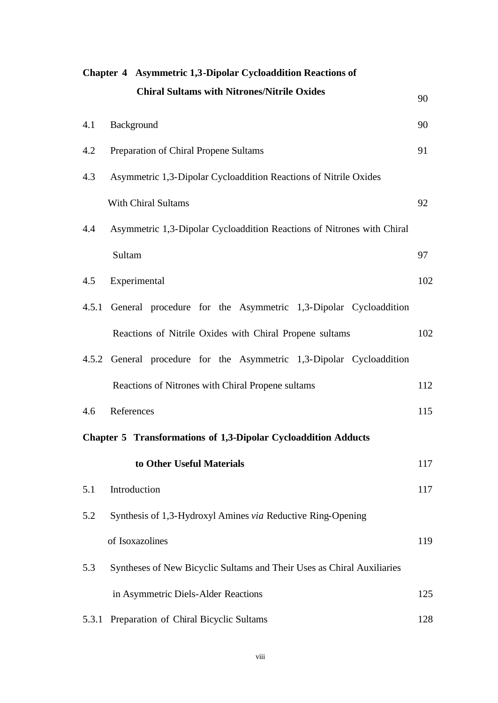|       | Chapter 4 Asymmetric 1,3-Dipolar Cycloaddition Reactions of            |     |
|-------|------------------------------------------------------------------------|-----|
|       | <b>Chiral Sultams with Nitrones/Nitrile Oxides</b>                     | 90  |
| 4.1   | Background                                                             | 90  |
| 4.2   | Preparation of Chiral Propene Sultams                                  | 91  |
| 4.3   | Asymmetric 1,3-Dipolar Cycloaddition Reactions of Nitrile Oxides       |     |
|       | <b>With Chiral Sultams</b>                                             | 92  |
| 4.4   | Asymmetric 1,3-Dipolar Cycloaddition Reactions of Nitrones with Chiral |     |
|       | Sultam                                                                 | 97  |
| 4.5   | Experimental                                                           | 102 |
|       | 4.5.1 General procedure for the Asymmetric 1,3-Dipolar Cycloaddition   |     |
|       | Reactions of Nitrile Oxides with Chiral Propene sultams                | 102 |
|       | 4.5.2 General procedure for the Asymmetric 1,3-Dipolar Cycloaddition   |     |
|       | Reactions of Nitrones with Chiral Propene sultams                      | 112 |
| 4.6   | References                                                             | 115 |
|       | <b>Chapter 5 Transformations of 1,3-Dipolar Cycloaddition Adducts</b>  |     |
|       | to Other Useful Materials                                              | 117 |
| 5.1   | Introduction                                                           | 117 |
| 5.2   | Synthesis of 1,3-Hydroxyl Amines via Reductive Ring-Opening            |     |
|       | of Isoxazolines                                                        | 119 |
| 5.3   | Syntheses of New Bicyclic Sultams and Their Uses as Chiral Auxiliaries |     |
|       | in Asymmetric Diels-Alder Reactions                                    | 125 |
| 5.3.1 | Preparation of Chiral Bicyclic Sultams                                 | 128 |